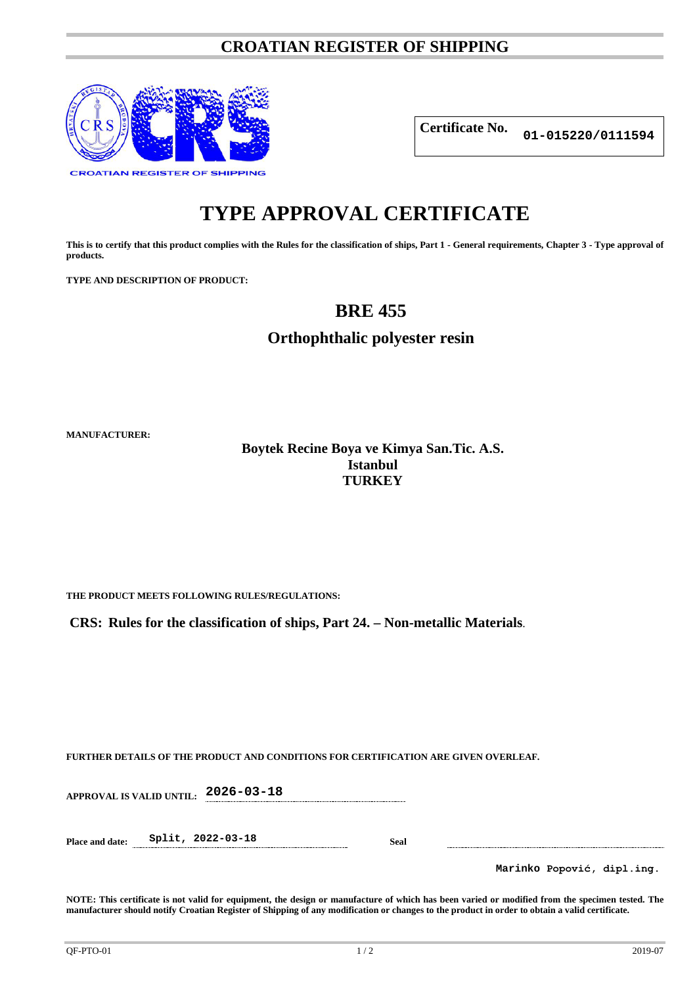### **CROATIAN REGISTER OF SHIPPING**



**Certificate No. 01-015220/0111594**

# **TYPE APPROVAL CERTIFICATE**

**This is to certify that this product complies with the Rules for the classification of ships, Part 1 - General requirements, Chapter 3 - Type approval of products.**

**TYPE AND DESCRIPTION OF PRODUCT:** 

## **BRE 455**

**Orthophthalic polyester resin**

**MANUFACTURER:**

**Boytek Recine Boya ve Kimya San.Tic. A.S. Istanbul TURKEY**

**THE PRODUCT MEETS FOLLOWING RULES/REGULATIONS:**

**CRS: Rules for the classification of ships, Part 24. – Non-metallic Materials**.

**FURTHER DETAILS OF THE PRODUCT AND CONDITIONS FOR CERTIFICATION ARE GIVEN OVERLEAF.**

**APPROVAL IS VALID UNTIL: 2026-03-18**

**Place and date: Split, 2022-03-18 Seal**

**Marinko Popović, dipl.ing.**

**NOTE: This certificate is not valid for equipment, the design or manufacture of which has been varied or modified from the specimen tested. The manufacturer should notify Croatian Register of Shipping of any modification or changes to the product in order to obtain a valid certificate.**